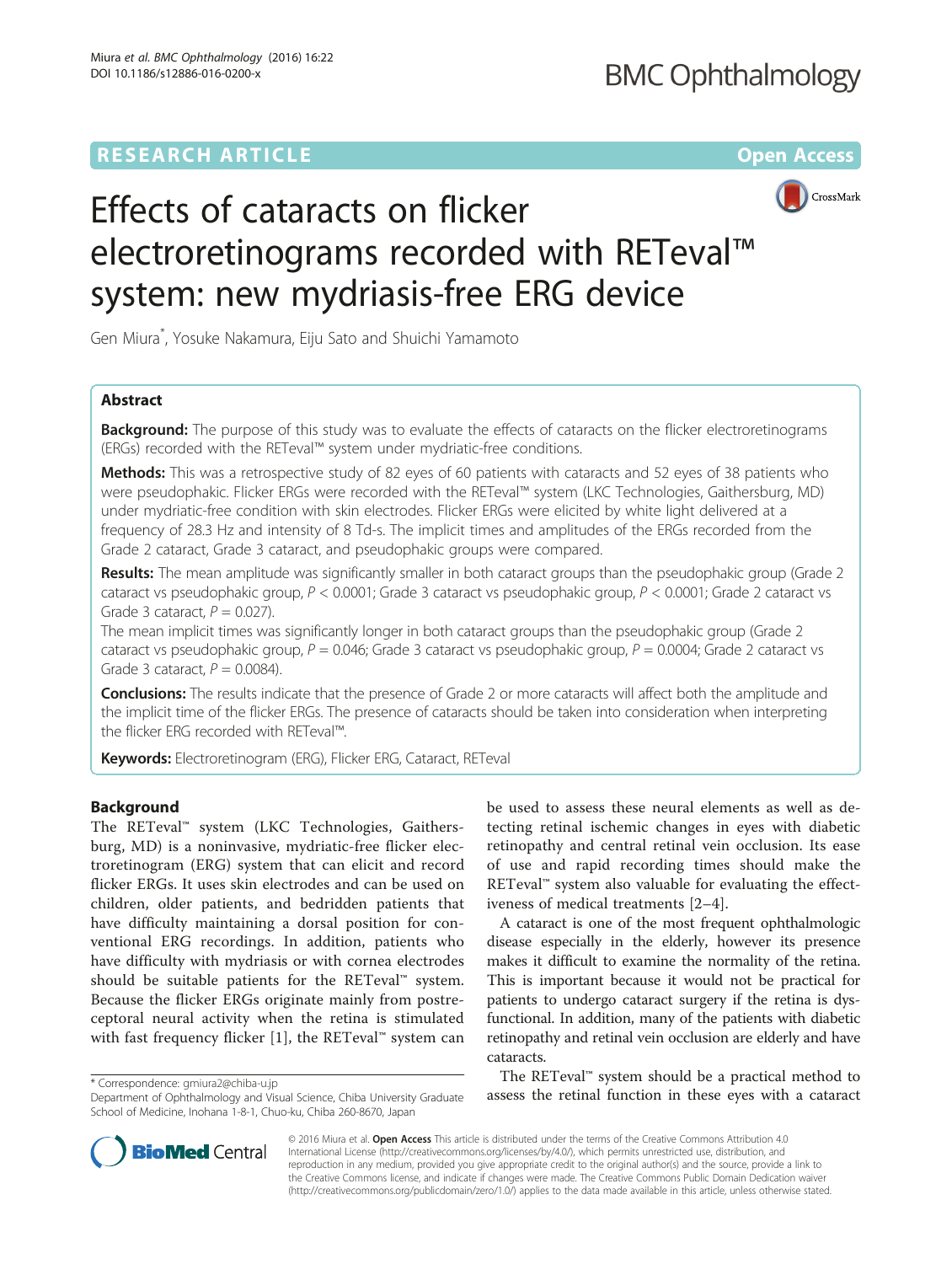# **RESEARCH ARTICLE Example 2014 12:30 The Contract of Contract ACCESS**



# Effects of cataracts on flicker electroretinograms recorded with RETeval™ system: new mydriasis-free ERG device

Gen Miura\* , Yosuke Nakamura, Eiju Sato and Shuichi Yamamoto

# Abstract

**Background:** The purpose of this study was to evaluate the effects of cataracts on the flicker electroretinograms (ERGs) recorded with the RETeval™ system under mydriatic-free conditions.

Methods: This was a retrospective study of 82 eyes of 60 patients with cataracts and 52 eyes of 38 patients who were pseudophakic. Flicker ERGs were recorded with the RETeval™ system (LKC Technologies, Gaithersburg, MD) under mydriatic-free condition with skin electrodes. Flicker ERGs were elicited by white light delivered at a frequency of 28.3 Hz and intensity of 8 Td-s. The implicit times and amplitudes of the ERGs recorded from the Grade 2 cataract, Grade 3 cataract, and pseudophakic groups were compared.

Results: The mean amplitude was significantly smaller in both cataract groups than the pseudophakic group (Grade 2 cataract vs pseudophakic group, P < 0.0001; Grade 3 cataract vs pseudophakic group, P < 0.0001; Grade 2 cataract vs Grade 3 cataract,  $P = 0.027$ ).

The mean implicit times was significantly longer in both cataract groups than the pseudophakic group (Grade 2 cataract vs pseudophakic group,  $P = 0.046$ ; Grade 3 cataract vs pseudophakic group,  $P = 0.0004$ ; Grade 2 cataract vs Grade 3 cataract,  $P = 0.0084$ ).

**Conclusions:** The results indicate that the presence of Grade 2 or more cataracts will affect both the amplitude and the implicit time of the flicker ERGs. The presence of cataracts should be taken into consideration when interpreting the flicker ERG recorded with RETeval™.

Keywords: Electroretinogram (ERG), Flicker ERG, Cataract, RETeval

# Background

The RETeval™ system (LKC Technologies, Gaithersburg, MD) is a noninvasive, mydriatic-free flicker electroretinogram (ERG) system that can elicit and record flicker ERGs. It uses skin electrodes and can be used on children, older patients, and bedridden patients that have difficulty maintaining a dorsal position for conventional ERG recordings. In addition, patients who have difficulty with mydriasis or with cornea electrodes should be suitable patients for the RETeval™ system. Because the flicker ERGs originate mainly from postreceptoral neural activity when the retina is stimulated with fast frequency flicker [\[1](#page--1-0)], the RETeval™ system can

be used to assess these neural elements as well as detecting retinal ischemic changes in eyes with diabetic retinopathy and central retinal vein occlusion. Its ease of use and rapid recording times should make the RETeval™ system also valuable for evaluating the effectiveness of medical treatments [\[2](#page--1-0)–[4](#page--1-0)].

A cataract is one of the most frequent ophthalmologic disease especially in the elderly, however its presence makes it difficult to examine the normality of the retina. This is important because it would not be practical for patients to undergo cataract surgery if the retina is dysfunctional. In addition, many of the patients with diabetic retinopathy and retinal vein occlusion are elderly and have cataracts.

The RETeval™ system should be a practical method to asses the retinal function in these eyes with a cataract \* Correspondence: [gmiura2@chiba-u.jp](mailto:gmiura2@chiba-u.jp)<br>Department of Ophthalmology and Visual Science. Chiba University Graduate \* assess the retinal function in these eyes with a cat



© 2016 Miura et al. Open Access This article is distributed under the terms of the Creative Commons Attribution 4.0 International License [\(http://creativecommons.org/licenses/by/4.0/](http://creativecommons.org/licenses/by/4.0/)), which permits unrestricted use, distribution, and reproduction in any medium, provided you give appropriate credit to the original author(s) and the source, provide a link to the Creative Commons license, and indicate if changes were made. The Creative Commons Public Domain Dedication waiver [\(http://creativecommons.org/publicdomain/zero/1.0/](http://creativecommons.org/publicdomain/zero/1.0/)) applies to the data made available in this article, unless otherwise stated.

Department of Ophthalmology and Visual Science, Chiba University Graduate School of Medicine, Inohana 1-8-1, Chuo-ku, Chiba 260-8670, Japan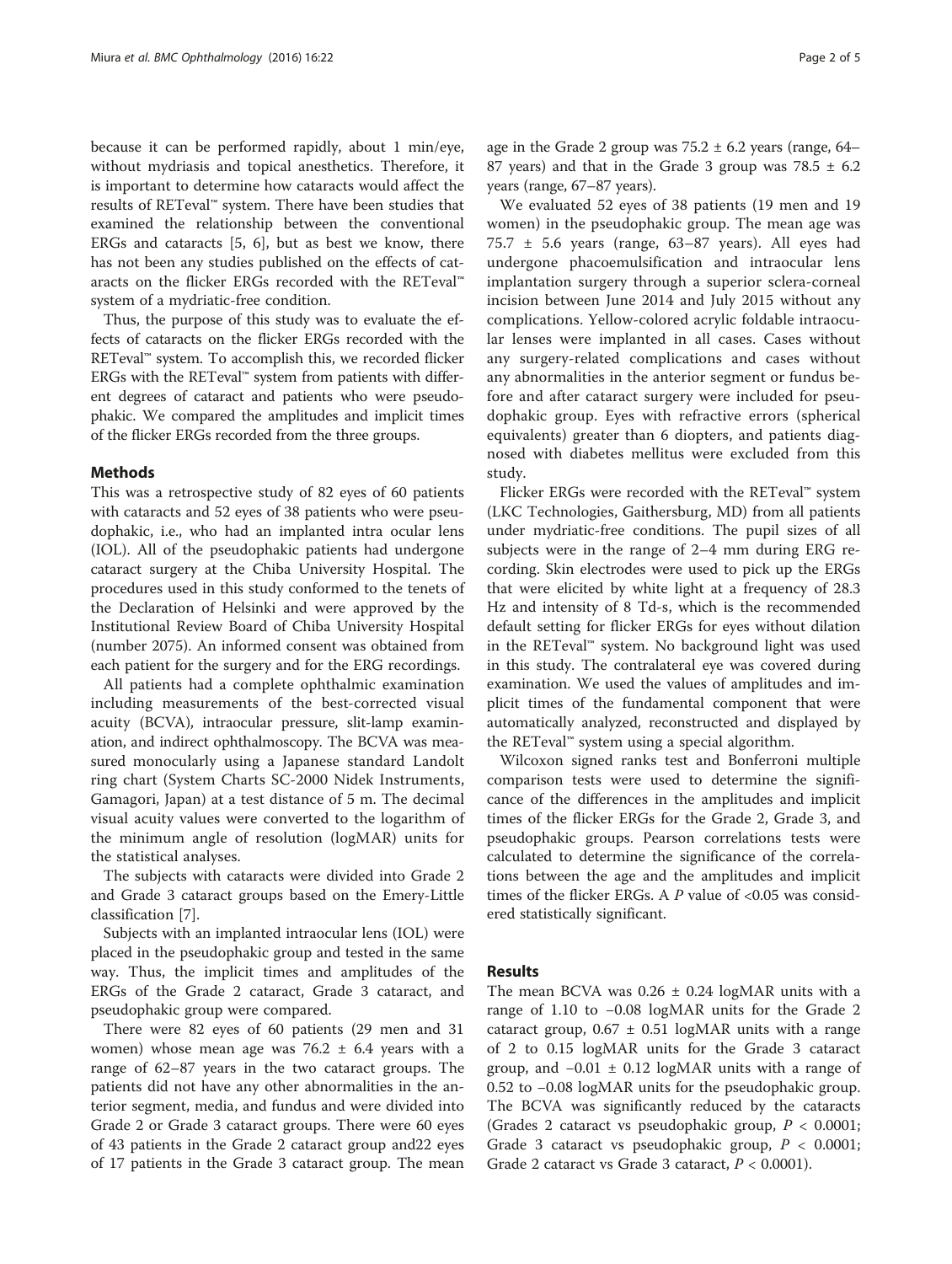because it can be performed rapidly, about 1 min/eye, without mydriasis and topical anesthetics. Therefore, it is important to determine how cataracts would affect the results of RETeval™ system. There have been studies that examined the relationship between the conventional ERGs and cataracts [[5, 6](#page--1-0)], but as best we know, there has not been any studies published on the effects of cataracts on the flicker ERGs recorded with the RETeval™ system of a mydriatic-free condition.

Thus, the purpose of this study was to evaluate the effects of cataracts on the flicker ERGs recorded with the RETeval™ system. To accomplish this, we recorded flicker ERGs with the RETeval™ system from patients with different degrees of cataract and patients who were pseudophakic. We compared the amplitudes and implicit times of the flicker ERGs recorded from the three groups.

#### Methods

This was a retrospective study of 82 eyes of 60 patients with cataracts and 52 eyes of 38 patients who were pseudophakic, i.e., who had an implanted intra ocular lens (IOL). All of the pseudophakic patients had undergone cataract surgery at the Chiba University Hospital. The procedures used in this study conformed to the tenets of the Declaration of Helsinki and were approved by the Institutional Review Board of Chiba University Hospital (number 2075). An informed consent was obtained from each patient for the surgery and for the ERG recordings.

All patients had a complete ophthalmic examination including measurements of the best-corrected visual acuity (BCVA), intraocular pressure, slit-lamp examination, and indirect ophthalmoscopy. The BCVA was measured monocularly using a Japanese standard Landolt ring chart (System Charts SC-2000 Nidek Instruments, Gamagori, Japan) at a test distance of 5 m. The decimal visual acuity values were converted to the logarithm of the minimum angle of resolution (logMAR) units for the statistical analyses.

The subjects with cataracts were divided into Grade 2 and Grade 3 cataract groups based on the Emery-Little classification [[7\]](#page--1-0).

Subjects with an implanted intraocular lens (IOL) were placed in the pseudophakic group and tested in the same way. Thus, the implicit times and amplitudes of the ERGs of the Grade 2 cataract, Grade 3 cataract, and pseudophakic group were compared.

There were 82 eyes of 60 patients (29 men and 31 women) whose mean age was  $76.2 \pm 6.4$  years with a range of 62–87 years in the two cataract groups. The patients did not have any other abnormalities in the anterior segment, media, and fundus and were divided into Grade 2 or Grade 3 cataract groups. There were 60 eyes of 43 patients in the Grade 2 cataract group and22 eyes of 17 patients in the Grade 3 cataract group. The mean age in the Grade 2 group was  $75.2 \pm 6.2$  years (range, 64– 87 years) and that in the Grade 3 group was  $78.5 \pm 6.2$ years (range, 67–87 years).

We evaluated 52 eyes of 38 patients (19 men and 19 women) in the pseudophakic group. The mean age was 75.7 ± 5.6 years (range, 63–87 years). All eyes had undergone phacoemulsification and intraocular lens implantation surgery through a superior sclera-corneal incision between June 2014 and July 2015 without any complications. Yellow-colored acrylic foldable intraocular lenses were implanted in all cases. Cases without any surgery-related complications and cases without any abnormalities in the anterior segment or fundus before and after cataract surgery were included for pseudophakic group. Eyes with refractive errors (spherical equivalents) greater than 6 diopters, and patients diagnosed with diabetes mellitus were excluded from this study.

Flicker ERGs were recorded with the RETeval™ system (LKC Technologies, Gaithersburg, MD) from all patients under mydriatic-free conditions. The pupil sizes of all subjects were in the range of 2–4 mm during ERG recording. Skin electrodes were used to pick up the ERGs that were elicited by white light at a frequency of 28.3 Hz and intensity of 8 Td-s, which is the recommended default setting for flicker ERGs for eyes without dilation in the RETeval™ system. No background light was used in this study. The contralateral eye was covered during examination. We used the values of amplitudes and implicit times of the fundamental component that were automatically analyzed, reconstructed and displayed by the RETeval™ system using a special algorithm.

Wilcoxon signed ranks test and Bonferroni multiple comparison tests were used to determine the significance of the differences in the amplitudes and implicit times of the flicker ERGs for the Grade 2, Grade 3, and pseudophakic groups. Pearson correlations tests were calculated to determine the significance of the correlations between the age and the amplitudes and implicit times of the flicker ERGs. A  $P$  value of <0.05 was considered statistically significant.

#### Results

The mean BCVA was  $0.26 \pm 0.24$  logMAR units with a range of 1.10 to −0.08 logMAR units for the Grade 2 cataract group,  $0.67 \pm 0.51$  logMAR units with a range of 2 to 0.15 logMAR units for the Grade 3 cataract group, and  $-0.01 \pm 0.12$  logMAR units with a range of 0.52 to −0.08 logMAR units for the pseudophakic group. The BCVA was significantly reduced by the cataracts (Grades 2 cataract vs pseudophakic group,  $P < 0.0001$ ; Grade 3 cataract vs pseudophakic group,  $P < 0.0001$ ; Grade 2 cataract vs Grade 3 cataract,  $P < 0.0001$ ).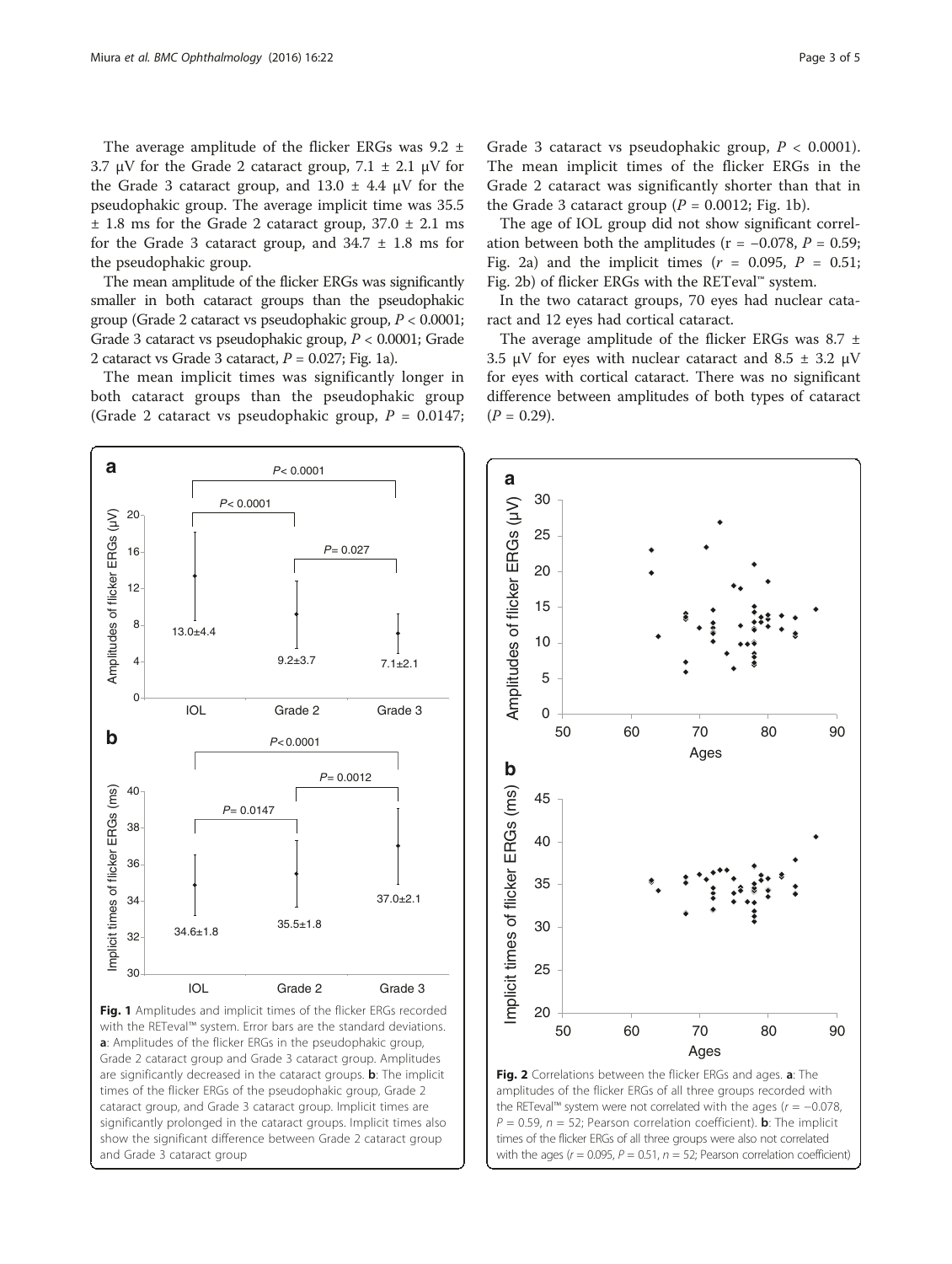The average amplitude of the flicker ERGs was 9.2 ± 3.7 μV for the Grade 2 cataract group,  $7.1 \pm 2.1$  μV for the Grade 3 cataract group, and  $13.0 \pm 4.4$   $\mu$ V for the pseudophakic group. The average implicit time was 35.5  $\pm$  1.8 ms for the Grade 2 cataract group, 37.0  $\pm$  2.1 ms for the Grade 3 cataract group, and  $34.7 \pm 1.8$  ms for the pseudophakic group.

The mean amplitude of the flicker ERGs was significantly smaller in both cataract groups than the pseudophakic group (Grade 2 cataract vs pseudophakic group,  $P < 0.0001$ ; Grade 3 cataract vs pseudophakic group, P < 0.0001; Grade 2 cataract vs Grade 3 cataract,  $P = 0.027$ ; Fig. 1a).

The mean implicit times was significantly longer in both cataract groups than the pseudophakic group (Grade 2 cataract vs pseudophakic group,  $P = 0.0147$ ;

*P* < 0.0001

*P* = 0.027

 $9.2 \pm 3.7$   $7.1 \pm 2.1$ 

 $P = 0.0012$ 

37.0±2.1

*P* < 0.0001

IOL Grade 2 Grade 3

*P* < 0.0001

 $P = 0.0147$ 

 $35.5 \pm 1.8$ 

 $\Omega$ 

34

36

38

40

4

8

13.0±4.4

**b**<br>Amplitudes of flicker ERGs (µV)

 $\mathbf b$ 

Amplitudes of flicker ERGs (µV)

12

16

20

**a**

Grade 3 cataract vs pseudophakic group,  $P < 0.0001$ ). The mean implicit times of the flicker ERGs in the Grade 2 cataract was significantly shorter than that in the Grade 3 cataract group ( $P = 0.0012$ ; Fig. 1b).

The age of IOL group did not show significant correlation between both the amplitudes ( $r = -0.078$ ,  $P = 0.59$ ; Fig. 2a) and the implicit times  $(r = 0.095, P = 0.51;$ Fig. 2b) of flicker ERGs with the RETeval™ system.

In the two cataract groups, 70 eyes had nuclear cataract and 12 eyes had cortical cataract.

The average amplitude of the flicker ERGs was 8.7 ± 3.5 μV for eyes with nuclear cataract and 8.5  $\pm$  3.2 μV for eyes with cortical cataract. There was no significant difference between amplitudes of both types of cataract  $(P = 0.29)$ .





amplitudes of the flicker ERGs of all three groups recorded with the RETeval™ system were not correlated with the ages ( $r = -0.078$ ,  $P = 0.59$ ,  $n = 52$ ; Pearson correlation coefficient). **b**: The implicit times of the flicker ERGs of all three groups were also not correlated with the ages ( $r = 0.095$ ,  $P = 0.51$ ,  $n = 52$ ; Pearson correlation coefficient)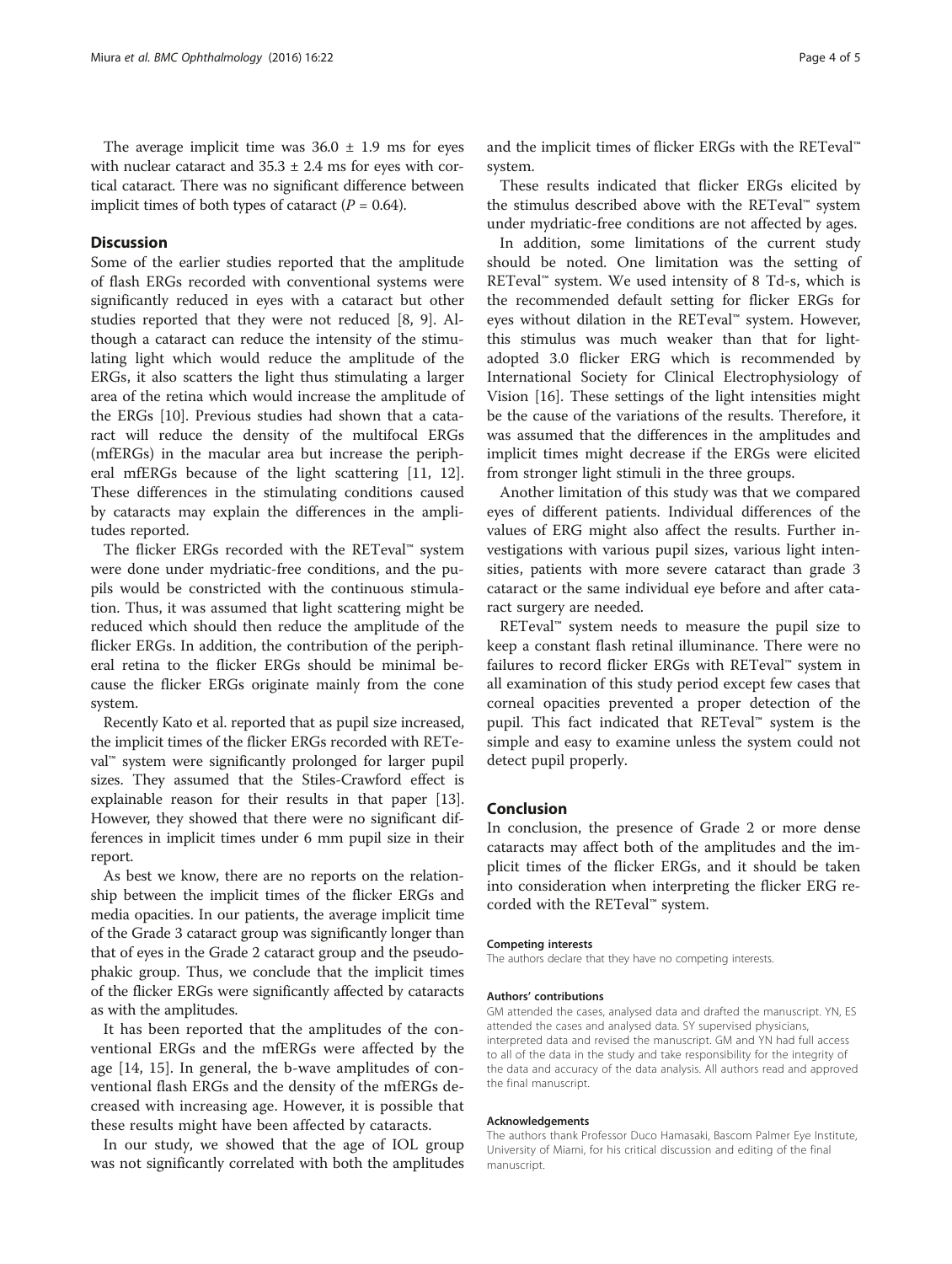The average implicit time was  $36.0 \pm 1.9$  ms for eyes with nuclear cataract and  $35.3 \pm 2.4$  ms for eyes with cortical cataract. There was no significant difference between implicit times of both types of cataract ( $P = 0.64$ ).

### **Discussion**

Some of the earlier studies reported that the amplitude of flash ERGs recorded with conventional systems were significantly reduced in eyes with a cataract but other studies reported that they were not reduced [[8, 9\]](#page--1-0). Although a cataract can reduce the intensity of the stimulating light which would reduce the amplitude of the ERGs, it also scatters the light thus stimulating a larger area of the retina which would increase the amplitude of the ERGs [\[10\]](#page--1-0). Previous studies had shown that a cataract will reduce the density of the multifocal ERGs (mfERGs) in the macular area but increase the peripheral mfERGs because of the light scattering [[11, 12](#page--1-0)]. These differences in the stimulating conditions caused by cataracts may explain the differences in the amplitudes reported.

The flicker ERGs recorded with the RETeval™ system were done under mydriatic-free conditions, and the pupils would be constricted with the continuous stimulation. Thus, it was assumed that light scattering might be reduced which should then reduce the amplitude of the flicker ERGs. In addition, the contribution of the peripheral retina to the flicker ERGs should be minimal because the flicker ERGs originate mainly from the cone system.

Recently Kato et al. reported that as pupil size increased, the implicit times of the flicker ERGs recorded with RETeval™ system were significantly prolonged for larger pupil sizes. They assumed that the Stiles-Crawford effect is explainable reason for their results in that paper [[13](#page--1-0)]. However, they showed that there were no significant differences in implicit times under 6 mm pupil size in their report.

As best we know, there are no reports on the relationship between the implicit times of the flicker ERGs and media opacities. In our patients, the average implicit time of the Grade 3 cataract group was significantly longer than that of eyes in the Grade 2 cataract group and the pseudophakic group. Thus, we conclude that the implicit times of the flicker ERGs were significantly affected by cataracts as with the amplitudes.

It has been reported that the amplitudes of the conventional ERGs and the mfERGs were affected by the age [\[14](#page--1-0), [15](#page--1-0)]. In general, the b-wave amplitudes of conventional flash ERGs and the density of the mfERGs decreased with increasing age. However, it is possible that these results might have been affected by cataracts.

In our study, we showed that the age of IOL group was not significantly correlated with both the amplitudes and the implicit times of flicker ERGs with the RETeval™ system.

These results indicated that flicker ERGs elicited by the stimulus described above with the RETeval™ system under mydriatic-free conditions are not affected by ages.

In addition, some limitations of the current study should be noted. One limitation was the setting of RETeval™ system. We used intensity of 8 Td-s, which is the recommended default setting for flicker ERGs for eyes without dilation in the RETeval™ system. However, this stimulus was much weaker than that for lightadopted 3.0 flicker ERG which is recommended by International Society for Clinical Electrophysiology of Vision [[16\]](#page--1-0). These settings of the light intensities might be the cause of the variations of the results. Therefore, it was assumed that the differences in the amplitudes and implicit times might decrease if the ERGs were elicited from stronger light stimuli in the three groups.

Another limitation of this study was that we compared eyes of different patients. Individual differences of the values of ERG might also affect the results. Further investigations with various pupil sizes, various light intensities, patients with more severe cataract than grade 3 cataract or the same individual eye before and after cataract surgery are needed.

RETeval™ system needs to measure the pupil size to keep a constant flash retinal illuminance. There were no failures to record flicker ERGs with RETeval™ system in all examination of this study period except few cases that corneal opacities prevented a proper detection of the pupil. This fact indicated that RETeval™ system is the simple and easy to examine unless the system could not detect pupil properly.

#### Conclusion

In conclusion, the presence of Grade 2 or more dense cataracts may affect both of the amplitudes and the implicit times of the flicker ERGs, and it should be taken into consideration when interpreting the flicker ERG recorded with the RETeval™ system.

#### Competing interests

The authors declare that they have no competing interests.

#### Authors' contributions

GM attended the cases, analysed data and drafted the manuscript. YN, ES attended the cases and analysed data. SY supervised physicians, interpreted data and revised the manuscript. GM and YN had full access to all of the data in the study and take responsibility for the integrity of the data and accuracy of the data analysis. All authors read and approved the final manuscript.

#### Acknowledgements

The authors thank Professor Duco Hamasaki, Bascom Palmer Eye Institute, University of Miami, for his critical discussion and editing of the final manuscript.